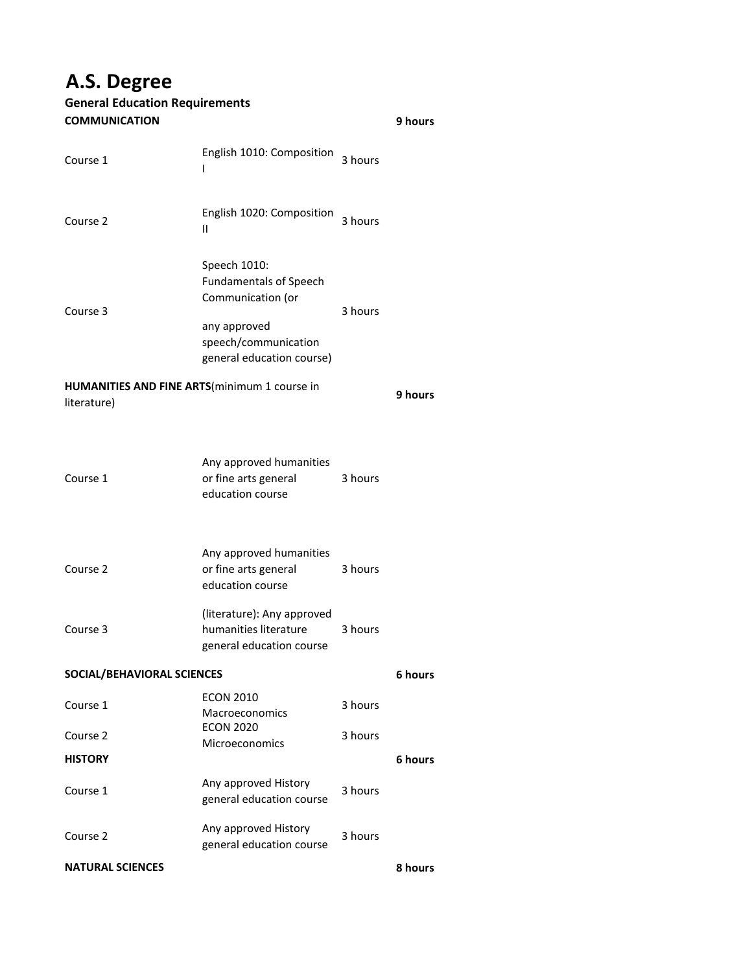## **A.S. Degree**

## **General Education Requirements COMMUNICATION**

| Course 1                                                            | English 1010: Composition<br>I                                                     | 3 hours |         |
|---------------------------------------------------------------------|------------------------------------------------------------------------------------|---------|---------|
| Course 2                                                            | English 1020: Composition<br>Ш                                                     | 3 hours |         |
| Course 3                                                            | Speech 1010:<br><b>Fundamentals of Speech</b><br>Communication (or<br>any approved | 3 hours |         |
|                                                                     | speech/communication<br>general education course)                                  |         |         |
| <b>HUMANITIES AND FINE ARTS</b> (minimum 1 course in<br>literature) |                                                                                    |         | 9 hours |
| Course 1                                                            | Any approved humanities<br>or fine arts general<br>education course                | 3 hours |         |
| Course 2                                                            | Any approved humanities<br>or fine arts general<br>education course                | 3 hours |         |
| Course 3                                                            | (literature): Any approved<br>humanities literature<br>general education course    | 3 hours |         |
| SOCIAL/BEHAVIORAL SCIENCES                                          |                                                                                    |         | 6 hours |
| Course 1                                                            | <b>ECON 2010</b><br><b>Macroeconomics</b>                                          | 3 hours |         |
| Course 2                                                            | <b>ECON 2020</b><br><b>Microeconomics</b>                                          | 3 hours |         |
| <b>HISTORY</b>                                                      |                                                                                    |         | 6 hours |
| Course 1                                                            | Any approved History<br>general education course                                   | 3 hours |         |
| Course 2                                                            | Any approved History<br>general education course                                   | 3 hours |         |
| <b>NATURAL SCIENCES</b>                                             |                                                                                    |         | 8 hours |

**9 hours**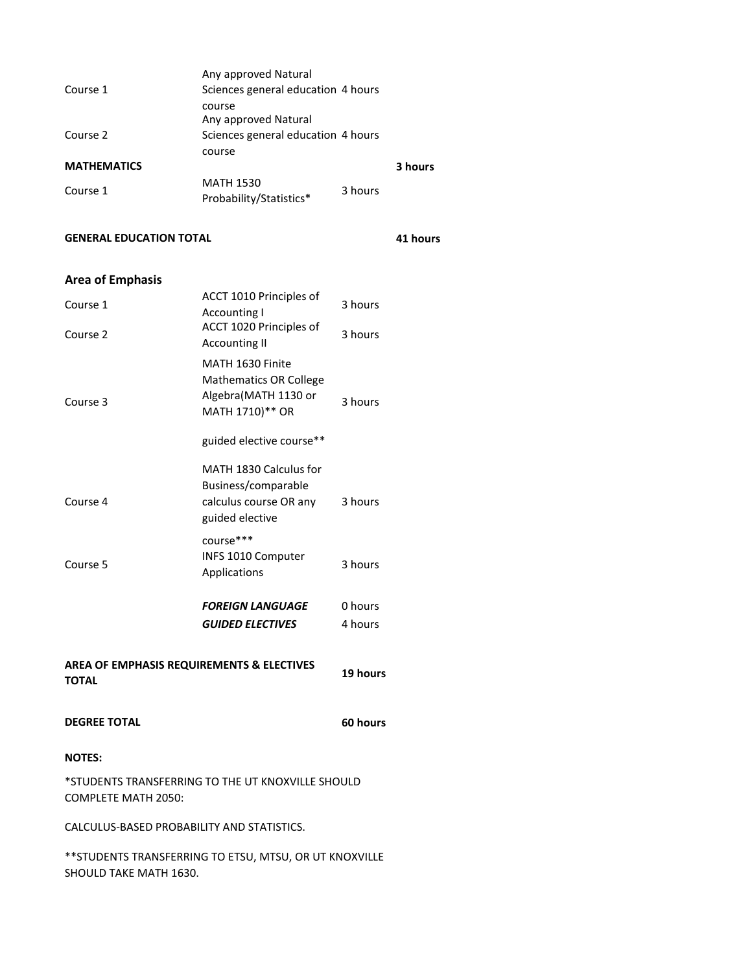|                                            | Any approved Natural                                    |          |          |
|--------------------------------------------|---------------------------------------------------------|----------|----------|
| Course 1                                   | Sciences general education 4 hours                      |          |          |
|                                            | course<br>Any approved Natural                          |          |          |
| Course 2                                   | Sciences general education 4 hours                      |          |          |
|                                            | course                                                  |          |          |
| <b>MATHEMATICS</b>                         |                                                         |          | 3 hours  |
| Course 1                                   | <b>MATH 1530</b>                                        | 3 hours  |          |
|                                            | Probability/Statistics*                                 |          |          |
|                                            |                                                         |          |          |
| <b>GENERAL EDUCATION TOTAL</b>             |                                                         |          | 41 hours |
| <b>Area of Emphasis</b>                    |                                                         |          |          |
|                                            | ACCT 1010 Principles of                                 |          |          |
| Course 1                                   | Accounting I                                            | 3 hours  |          |
| Course 2<br>Course 3                       | ACCT 1020 Principles of<br><b>Accounting II</b>         | 3 hours  |          |
|                                            |                                                         |          |          |
|                                            | MATH 1630 Finite<br><b>Mathematics OR College</b>       |          |          |
|                                            | Algebra(MATH 1130 or                                    | 3 hours  |          |
|                                            | MATH 1710)** OR                                         |          |          |
|                                            | guided elective course**                                |          |          |
|                                            | MATH 1830 Calculus for                                  |          |          |
|                                            | Business/comparable                                     |          |          |
| Course 4                                   | calculus course OR any                                  | 3 hours  |          |
|                                            | guided elective                                         |          |          |
| Course 5                                   | course***                                               |          |          |
|                                            | INFS 1010 Computer                                      | 3 hours  |          |
|                                            | Applications                                            |          |          |
|                                            | FOREIGN LANGUAGE                                        | 0 hours  |          |
|                                            | <b>GUIDED ELECTIVES</b>                                 | 4 hours  |          |
|                                            |                                                         |          |          |
| AREA OF EMPHASIS REQUIREMENTS & ELECTIVES  |                                                         | 19 hours |          |
| <b>TOTAL</b>                               |                                                         |          |          |
| <b>DEGREE TOTAL</b>                        |                                                         | 60 hours |          |
|                                            |                                                         |          |          |
| <b>NOTES:</b>                              |                                                         |          |          |
| COMPLETE MATH 2050:                        | *STUDENTS TRANSFERRING TO THE UT KNOXVILLE SHOULD       |          |          |
| CALCULUS-BASED PROBABILITY AND STATISTICS. |                                                         |          |          |
|                                            | ** STUDENTS TRANSFERRING TO ETSU, MTSU, OR UT KNOXVILLE |          |          |
| SHOULD TAKE MATH 1630.                     |                                                         |          |          |